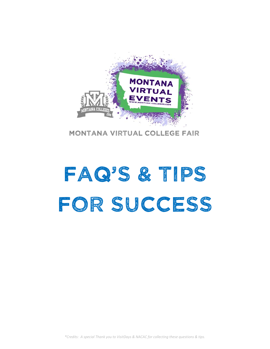

Montana virtual College fair

# FAQ'S & TIPS FOR SUCCESS

*\*Credits: A special Thank you to VisitDays & NACAC for collecting these questions & tips.*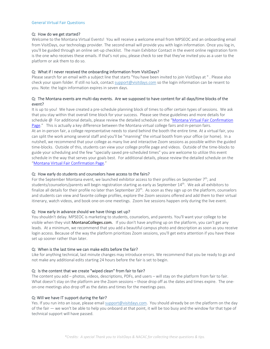#### General Virtual Fair Questions

## Q: How do we get started?

Welcome to the Montana Virtual Events! You will receive a welcome email from MPSEOC and an onboarding email from VisitDays, our technology provider. The second email will provide you with login information. Once you log in, you'll be guided through an online set‐up checklist. The main Exhibitor Contact in the event online registration form is the one who receives these emails. If that's not you, please check to see that they've invited you as a user to the platform or ask them to do so.

# Q: What if I never received the onboarding information from VisitDays?

Please search for an email with a subject line that starts "You have been invited to join VisitDays at " . Please also check your spam folder. If still no luck, contact support@visitdays.com so the login information can be resent to you. Note: the login information expires in seven days.

# Q: The Montana events are multi‐day events. Are we supposed to have content for all days/time blocks of the event?

It is up to you! We have created a pre-schedule planning block of times to offer certain types of sessions. We ask that you stay within that overall time block for your success. Please see these guidelines and more details for schedule @ For additional details, please review the detailed schedule on the "Montana Virtual Fair Confirmation Page." This is actually a key difference between the Montana virtual college fairs and in-person fairs. At an in-person fair, a college representative needs to stand behind the booth the entire time. At a virtual fair, you can split the work among several staff and you'll be "manning" the virtual booth from your office (or home). In a nutshell, we recommend that your college as many live and interactive Zoom sessions as possible within the guided time-blocks. Outside of this, students can view your college profile page and videos. Outside of the time-blocks to guide your scheduling and the few "specially saved pre‐scheduled times" you are welcome to utilize this event schedule in the way that serves your goals best. For additional details, please review the detailed schedule on the "Montana Virtual Fair Confirmation Page."

# Q: How early do students and counselors have access to the fairs?

For the September Montana event, we launched exhibitor access to their profiles on September  $7<sup>th</sup>$ , and students/counselors/parents will begin registration starting as early as September 14<sup>th</sup>. We ask all exhibitors to finalize all details for their profile no later than September  $20<sup>th</sup>$ . As soon as they sign up on the platform, counselors and students can view and favorite college profiles, explore the Zoom sessions offered and add them to their virtual itinerary, watch videos, and book one‐on‐one meetings. Zoom live sessions happen only during the live event.

## Q: How early in advance should we have things set up?

You shouldn't delay. MPSEOC is marketing to students, counselors, and parents. You'll want your college to be visible when they visit MontanaColleges.com. If you don't have anything up on the platform, you can't get any leads. At a minimum, we recommend that you add a beautiful campus photo and description as soon as you receive login access. Because of the way the platform prioritizes Zoom sessions, you'll get extra attention if you have these set up sooner rather than later.

# Q: When is the last time we can make edits before the fair?

Like for anything technical, last minute changes may introduce errors. We recommend that you be ready to go and not make any additional edits starting 24 hours before the fair is set to begin.

# Q: Is the content that we create "wiped clean" from fair to fair?

The content you add – photos, videos, descriptions, PDFs, and users – will stay on the platform from fair to fair. What doesn't stay on the platform are the Zoom sessions – those drop off as the dates and times expire. The oneon‐one meetings also drop off as the dates and times for the meetings pass.

# Q: Will we have IT support during the fair?

Yes. If you run into an issue, please email support@visitdays.com. You should already be on the platform on the day of the fair ― we won't be able to help you onboard at that point, it will be too busy and the window for that type of technical support will have passed.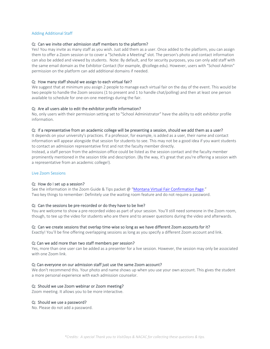## Adding Additional Staff

#### Q: Can we invite other admission staff members to the platform?

Yes! You may invite as many staff as you wish. Just add them as a user. Once added to the platform, you can assign them to offer a Zoom session or to cover a "Schedule a Meeting" slot. The person's photo and contact information can also be added and viewed by students. Note: By default, and for security purposes, you can only add staff with the same email domain as the Exhibitor Contact (for example, @college.edu). However, users with "School Admin" permission on the platform can add additional domains if needed.

#### Q: How many staff should we assign to each virtual fair?

We suggest that at minimum you assign 2 people to manage each virtual fair on the day of the event. This would be two people to handle the Zoom sessions (1 to present and 1 to handle chat/polling) and then at least one person available to schedule for one‐on‐one meetings during the fair.

#### Q: Are all users able to edit the exhibitor profile information?

No, only users with their permission setting set to "School Administrator" have the ability to edit exhibitor profile information.

#### Q: If a representative from an academic college will be presenting a session, should we add them as a user?

It depends on your university's practices. If a professor, for example, is added as a user, their name and contact information will appear alongside that session for students to see. This may not be a good idea if you want students to contact an admission representative first and not the faculty member directly.

Instead, a staff person from the admission office could be listed as the session contact and the faculty member prominently mentioned in the session title and description. (By the way, it's great that you're offering a session with a representative from an academic college!).

#### Live Zoom Sessions

#### Q: How do I set up a session?

See the information in the Zoom Guide & Tips packet @ "Montana Virtual Fair Confirmation Page." Two key things to remember: Definitely use the waiting room feature and do not require a password.

#### Q: Can the sessions be pre-recorded or do they have to be live?

You are welcome to show a pre-recorded video as part of your session. You'll still need someone in the Zoom room, though, to tee up the video for students who are there and to answer questions during the video and afterwards.

#### Q: Can we create sessions that overlap time-wise so long as we have different Zoom accounts for it?

Exactly! You'll be fine offering overlapping sessions as long as you specify a different Zoom account and link.

#### Q: Can we add more than two staff members per session?

Yes, more than one user can be added as a presenter for a live session. However, the session may only be associated with one Zoom link.

#### Q: Can everyone on our admission staff just use the same Zoom account?

We don't recommend this. Your photo and name shows up when you use your own account. This gives the student a more personal experience with each admission counselor.

#### Q: Should we use Zoom webinar or Zoom meeting?

Zoom meeting. It allows you to be more interactive.

#### Q: Should we use a password?

No. Please do not add a password.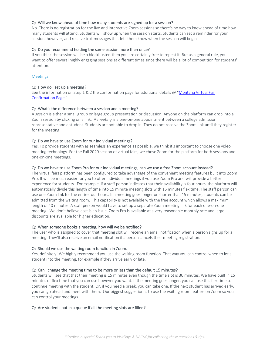# Q: Will we know ahead of time how many students are signed up for a session?

No. There is no registration for the live and interactive Zoom sessions so there's no way to know ahead of time how many students will attend. Students will show up when the session starts. Students can set a reminder for your session, however, and receive text messages that lets them know when the session will begin

# Q: Do you recommend holding the same session more than once?

If you think the session will be a blockbuster, then you are certainly free to repeat it. But as a general rule, you'll want to offer several highly engaging sessions at different times since there will be a lot of competition for students' attention.

# Meetings

# Q: How do I set up a meeting?

See the information on Step 1 & 2 the conformation page for additional details @ "Montana Virtual Fair Confirmation Page."

# Q: What's the difference between a session and a meeting?

A *session* is either a small group or large group presentation or discussion. Anyone on the platform can drop into a Zoom session by clicking on a link. A *meeting* is a one‐on‐one appointment between a college admission representative and a student. Students are not able to drop in. They do not receive the Zoom link until they register for the meeting.

# Q: Do we have to use Zoom for our individual meetings?

Yes. To provide students with as seamless an experience as possible, we think it's important to choose one video meeting technology. For the Fall 2020 season of virtual fairs, we chose Zoom for the platform for both sessions and one‐on‐one meetings.

## Q: Do we have to use Zoom Pro for our individual meetings, can we use a free Zoom account instead?

The virtual fairs platform has been configured to take advantage of the convenient meeting features built into Zoom Pro. It will be much easier for you to offer individual meetings if you use Zoom Pro and will provide a better experience for students. For example, if a staff person indicates that their availability is four hours, the platform will automatically divide this length of time into 15 minute meeting slots with 15 minutes flex time. The staff person can use one Zoom link for the entire four hours. If a meeting goes longer or shorter than 15 minutes, students can be admitted from the waiting room. This capability is not available with the free account which allows a maximum length of 40 minutes. A staff person would have to set up a separate Zoom meeting link for each one‐on‐one meeting. We don't believe cost is an issue. Zoom Pro is available at a very reasonable monthly rate and large discounts are available for higher education.

## Q: When someone books a meeting, how will we be notified?

The user who is assigned to cover that meeting slot will receive an email notification when a person signs up for a meeting. They'll also receive an email notification if a person cancels their meeting registration.

## Q: Should we use the waiting room function in Zoom.

Yes, definitely! We highly recommend you use the waiting room function. That way you can control when to let a student into the meeting, for example if they arrive early or late.

## Q: Can I change the meeting time to be more or less than the default 15 minutes?

Students will see that that their meeting is 15 minutes even though the time slot is 30 minutes. We have built in 15 minutes of flex time that you can use however you want. If the meeting goes longer, you can use this flex time to continue meeting with the student. Or, if you need a break, you can take one. If the next student has arrived early, you can go ahead and meet with them. Our biggest suggestion is to use the waiting room feature on Zoom so you can control your meetings.

## Q: Are students put in a queue if all the meeting slots are filled?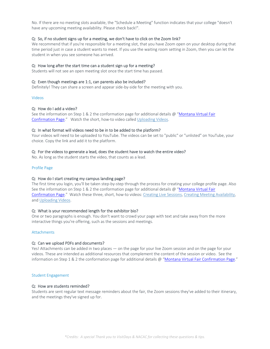No. If there are no meeting slots available, the "Schedule a Meeting" function indicates that your college "doesn't have any upcoming meeting availability. Please check back!".

# Q: So, if no student signs up for a meeting, we don't have to click on the Zoom link?

We recommend that if you're responsible for a meeting slot, that you have Zoom open on your desktop during that time period just in case a student wants to meet. If you use the waiting room setting in Zoom, then you can let the student in when you see someone has arrived.

## Q: How long after the start time can a student sign up for a meeting?

Students will not see an open meeting slot once the start time has passed.

# Q: Even though meetings are 1:1, can parents also be included?

Definitely! They can share a screen and appear side‐by‐side for the meeting with you.

## Videos

## Q: How do I add a video?

See the information on Step 1 & 2 the conformation page for additional details @ "Montana Virtual Fair Confirmation Page." Watch the short, how-to video called Uploading Videos.

## Q: In what format will videos need to be in to be added to the platform?

Your videos will need to be uploaded to YouTube. The videos can be set to "public" or "unlisted" on YouTube, your choice. Copy the link and add it to the platform.

## Q: For the videos to generate a lead, does the student have to watch the entire video?

No. As long as the student starts the video, that counts as a lead.

#### Profile Page

## Q: How do I start creating my campus landing page?

The first time you login, you'll be taken step-by-step through the process for creating your college profile page. Also See the information on Step 1 & 2 the conformation page for additional details @ "Montana Virtual Fair Confirmation Page." Watch these three, short, how-to videos: Creating Live Sessions, Creating Meeting Availability, and Uploading Videos.

## Q: What is your recommended length for the exhibitor bio?

One or two paragraphs is enough. You don't want to crowd your page with text and take away from the more interactive things you're offering, such as the sessions and meetings.

## Attachments

## Q: Can we upload PDFs and documents?

Yes! Attachments can be added in two places — on the page for your live Zoom session and on the page for your videos. These are intended as additional resources that complement the content of the session or video. See the information on Step 1 & 2 the conformation page for additional details @ "Montana Virtual Fair Confirmation Page."

#### Student Engagement

#### Q: How are students reminded?

Students are sent regular text message reminders about the fair, the Zoom sessions they've added to their itinerary, and the meetings they've signed up for.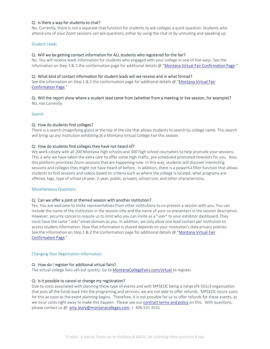# Q: Is there a way for students to chat?

No. Currently, there is not a separate chat function for students to ask colleges a quick question. Students who attend one of your Zoom sessions can ask questions, either by using the chat or by unmuting and speaking up.

#### Student Leads

## Q: Will we be getting contact information for ALL students who registered for the fair?

No. You will receive leads information for students who engaged with your college in one of five ways. See the information on Step 1 & 2 the conformation page for additional details @ "Montana Virtual Fair Confirmation Page."

#### Q: What kind of contact information for student leads will we receive and in what format?

See the information on Step 1 & 2 the conformation page for additional details @ "Montana Virtual Fair Confirmation Page."

#### Q: Will the report show where a student lead came from (whether from a meeting or live session, for example)? No, not currently.

Search

#### Q: How do students find colleges?

There is a search (magnifying glass) at the top of the site that allows students to search by college name. This search will bring up any institution exhibiting at a Montana Virtual College Fair this season.

#### Q: How do students find colleges they have not heard of?

We work closely with all 200 Montana high schools and 300 high school counselors to help promote your sessions. This is why we have taken the extra care to offer some high-traffic, pre-scheduled promoted timeslots for you. Also, this platform prioritizes Zoom sessions that are happening now. In this way, students will discover interesting sessions and colleges they might not have heard of before. In addition, there is a powerful filter function that allows students to find sessions and videos based on criteria such as where the college is located, what programs are offered, tags, type of school (4‐year, 2‐year, public, private), school size, and other characteristics.

#### Miscellaneous Questions

## Q: Can we offer a joint or themed session with another institution?

Yes. You are welcome to invite representatives from other institutions to co-present a session with you. You can include the name of the institution in the session title and the name of your co-presenters in the session description. However, security concerns require us to limit who you can invite as a "user" to your exhibitor dashboard. They must have the same ".edu" email domain as you. In addition, we only allow one lead contact per institution to access student information. How that information is shared depends on your institution's data privacy policies. See the information on Step 1 & 2 the conformation page for additional details @ "Montana Virtual Fair Confirmation Page."

#### Changing Your Registration Information

## Q: How do I register for additional virtual fairs?

The virtual college fairs sell out quickly. Go to MontanaCollegeFairs.com/virtual to register.

## Q: Is it possible to cancel or change my registration?

Due to costs associated with planning these type of events and with MPSEOC being a nonprofit 501c3 organization that puts all the funds back into the programing and services, we are not able to offer refunds. MPSEOC incurs costs for this as soon as the event planning begins. Therefore, it is not possible for us to offer refunds for these events, as we incur costs right away to make this happen. Please see our contract terms and policy on this. With questions, please contact us @ amy.leary@montanacolleges.com | 406.531.3531